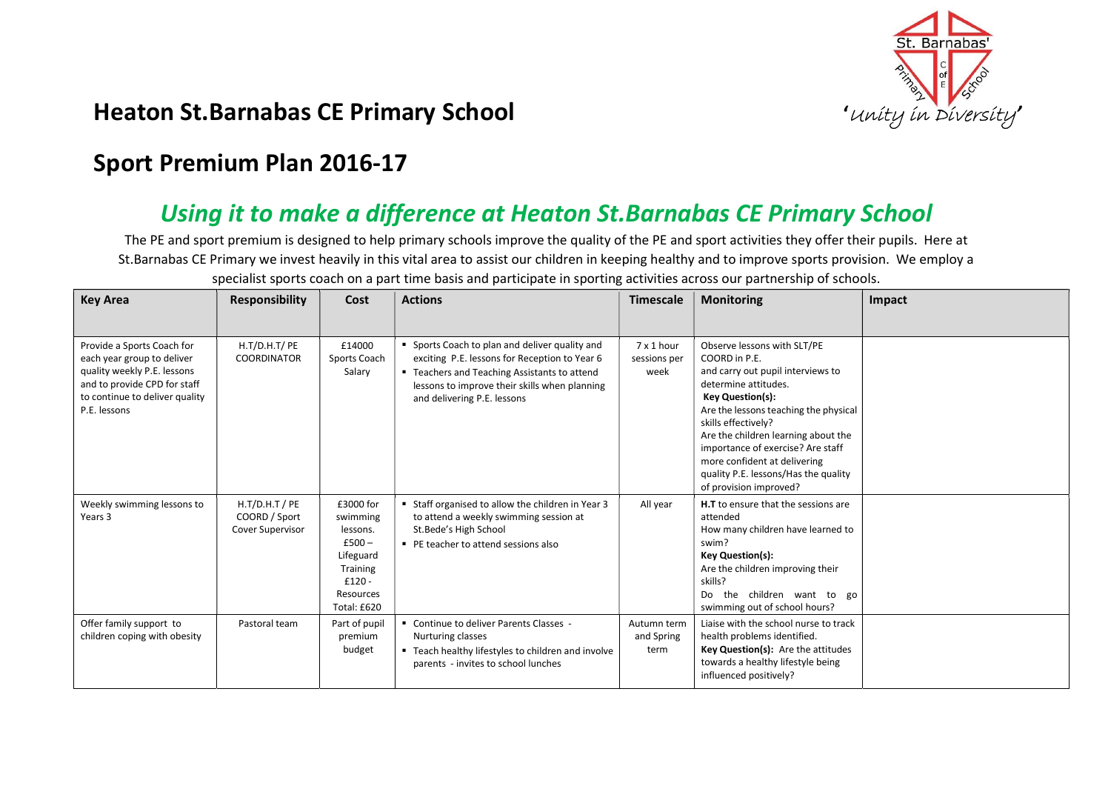

## Heaton St.Barnabas CE Primary School **Company School** The Charter of the Unity in Diversity

## Sport Premium Plan 2016-17

## Using it to make a difference at Heaton St.Barnabas CE Primary School

The PE and sport premium is designed to help primary schools improve the quality of the PE and sport activities they offer their pupils. Here at St.Barnabas CE Primary we invest heavily in this vital area to assist our children in keeping healthy and to improve sports provision. We employ a specialist sports coach on a part time basis and participate in sporting activities across our partnership of schools.

| <b>Key Area</b>                                                                                                                                                           | <b>Responsibility</b>                                 | Cost                                                                                                          | <b>Actions</b>                                                                                                                                                                                                                  | <b>Timescale</b>                   | <b>Monitoring</b>                                                                                                                                                                                                                                                                                                                                                                  | <b>Impact</b> |
|---------------------------------------------------------------------------------------------------------------------------------------------------------------------------|-------------------------------------------------------|---------------------------------------------------------------------------------------------------------------|---------------------------------------------------------------------------------------------------------------------------------------------------------------------------------------------------------------------------------|------------------------------------|------------------------------------------------------------------------------------------------------------------------------------------------------------------------------------------------------------------------------------------------------------------------------------------------------------------------------------------------------------------------------------|---------------|
| Provide a Sports Coach for<br>each year group to deliver<br>quality weekly P.E. lessons<br>and to provide CPD for staff<br>to continue to deliver quality<br>P.E. lessons | H.T/D.H.T/ PE<br>COORDINATOR                          | £14000<br>Sports Coach<br>Salary                                                                              | • Sports Coach to plan and deliver quality and<br>exciting P.E. lessons for Reception to Year 6<br>■ Teachers and Teaching Assistants to attend<br>lessons to improve their skills when planning<br>and delivering P.E. lessons | 7 x 1 hour<br>sessions per<br>week | Observe lessons with SLT/PE<br>COORD in P.E.<br>and carry out pupil interviews to<br>determine attitudes.<br><b>Key Question(s):</b><br>Are the lessons teaching the physical<br>skills effectively?<br>Are the children learning about the<br>importance of exercise? Are staff<br>more confident at delivering<br>quality P.E. lessons/Has the quality<br>of provision improved? |               |
| Weekly swimming lessons to<br>Years 3                                                                                                                                     | $H.T/D.H.T$ / PE<br>COORD / Sport<br>Cover Supervisor | £3000 for<br>swimming<br>lessons.<br>$£500-$<br>Lifeguard<br>Training<br>$£120 -$<br>Resources<br>Total: £620 | " Staff organised to allow the children in Year 3<br>to attend a weekly swimming session at<br>St.Bede's High School<br>• PE teacher to attend sessions also                                                                    | All year                           | H.T to ensure that the sessions are<br>attended<br>How many children have learned to<br>swim?<br><b>Key Question(s):</b><br>Are the children improving their<br>skills?<br>Do the children want to go<br>swimming out of school hours?                                                                                                                                             |               |
| Offer family support to<br>children coping with obesity                                                                                                                   | Pastoral team                                         | Part of pupil<br>premium<br>budget                                                                            | " Continue to deliver Parents Classes -<br>Nurturing classes<br>" Teach healthy lifestyles to children and involve<br>parents - invites to school lunches                                                                       | Autumn term<br>and Spring<br>term  | Liaise with the school nurse to track<br>health problems identified.<br>Key Question(s): Are the attitudes<br>towards a healthy lifestyle being<br>influenced positively?                                                                                                                                                                                                          |               |